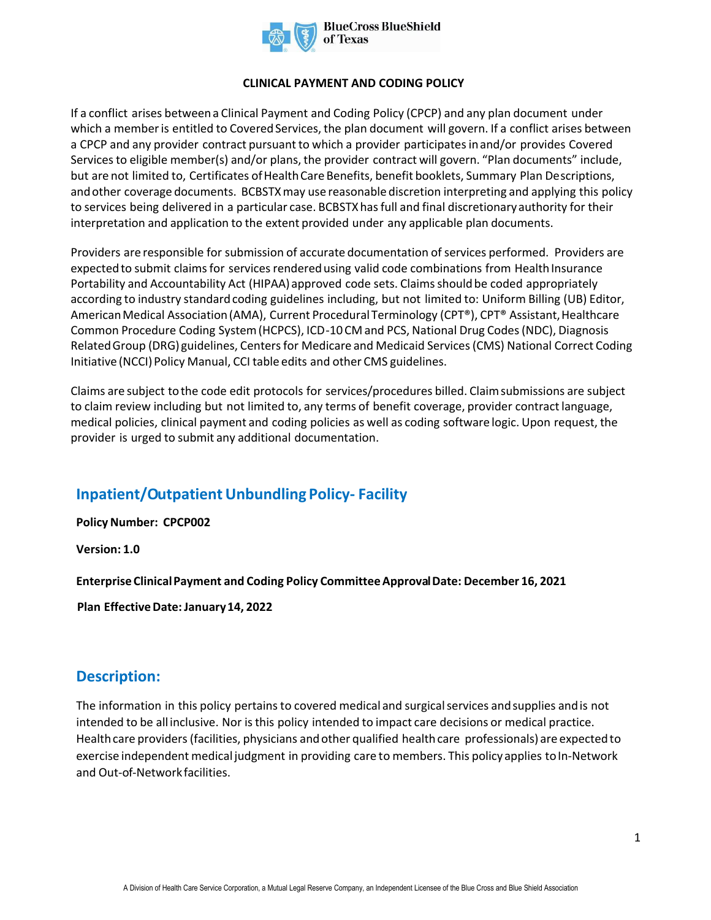

#### **CLINICAL PAYMENT AND CODING POLICY**

If a conflict arises between a Clinical Payment and Coding Policy (CPCP) and any plan document under which a member is entitled to Covered Services, the plan document will govern. If a conflict arises between a CPCP and any provider contract pursuant to which a provider participates in and/or provides Covered Services to eligible member(s) and/or plans, the provider contract will govern. "Plan documents" include, but are not limited to, Certificates of Health Care Benefits, benefit booklets, Summary Plan Descriptions, and other coverage documents. BCBSTX may use reasonable discretion interpreting and applying this policy to services being delivered in a particular case. BCBSTX has full and final discretionary authority for their interpretation and application to the extent provided under any applicable plan documents.

Providers are responsible for submission of accurate documentation of services performed. Providers are expected to submit claims for services rendered using valid code combinations from Health Insurance Portability and Accountability Act (HIPAA) approved code sets. Claims should be coded appropriately according to industry standard coding guidelines including, but not limited to: Uniform Billing (UB) Editor, American Medical Association (AMA), Current Procedural Terminology (CPT®), CPT® Assistant, Healthcare Common Procedure Coding System (HCPCS), ICD-10 CM and PCS, National Drug Codes (NDC), Diagnosis Related Group (DRG) guidelines, Centers for Medicare and Medicaid Services (CMS) National Correct Coding Initiative (NCCI) Policy Manual, CCI table edits and other CMS guidelines.

Claims are subject to the code edit protocols for services/procedures billed. Claim submissions are subject to claim review including but not limited to, any terms of benefit coverage, provider contract language, medical policies, clinical payment and coding policies as well as coding software logic. Upon request, the provider is urged to submit any additional documentation.

# **Inpatient/Outpatient Unbundling Policy- Facility**

**Policy Number: CPCP002** 

**Version: 1.0** 

**Enterprise Clinical Payment and Coding Policy Committee Approval Date: December 16, 2021** 

**Plan Effective Date: January 14, 2022** 

## **Description:**

The information in this policy pertains to covered medical and surgical services and supplies and is not intended to be all inclusive. Nor is this policy intended to impact care decisions or medical practice. Health care providers (facilities, physicians and other qualified health care professionals) are expected to exercise independent medical judgment in providing care to members. This policy applies to In-Network and Out-of-Network facilities.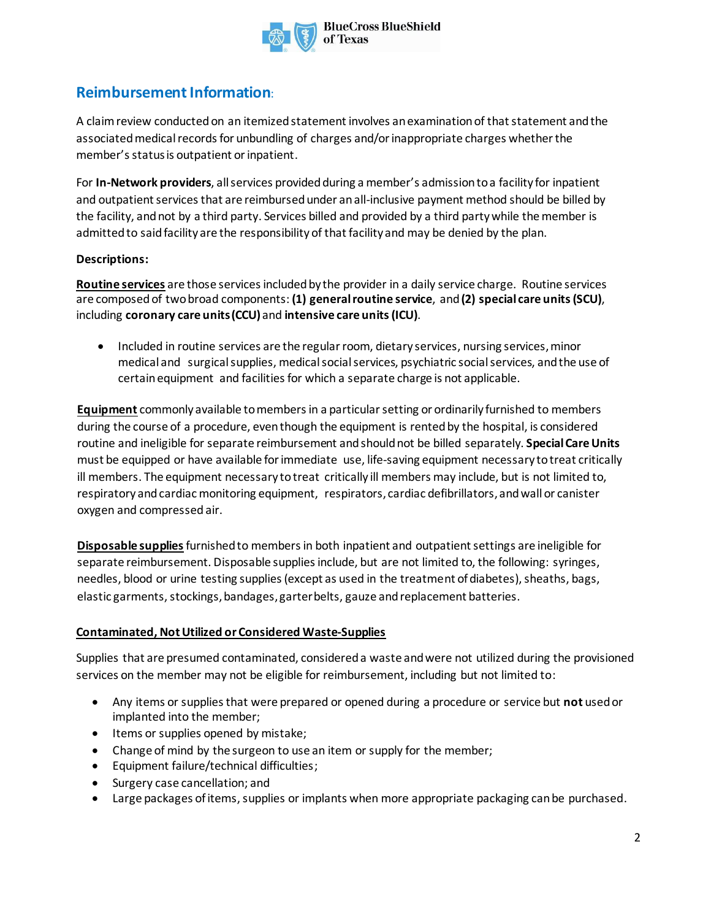

**BlueCross BlueShield** of Texas

# **Reimbursement Information:**

A claim review conducted on an itemized statement involves an examination of that statement and the associated medical records for unbundling of charges and/or inappropriate charges whether the member's status is outpatient or inpatient.

For **In-Network providers**, all services provided during a member's admission to a facility for inpatient and outpatient services that are reimbursed under an all-inclusive payment method should be billed by the facility, and not by a third party. Services billed and provided by a third party while the member is admitted to said facility are the responsibility of that facility and may be denied by the plan.

### **Descriptions:**

**Routine services** are those servicesincluded by the provider in a daily service charge. Routine services are composedof twobroad components: **(1) generalroutine service**, and **(2) special care units(SCU)**, including **coronary care units(CCU)** and **intensive care units(ICU)**.

• Included in routine services are the regular room, dietary services, nursing services, minor medical and surgical supplies, medical social services, psychiatric social services, and the use of certain equipment and facilities for which a separate charge is not applicable.

**Equipment** commonly available tomembersin a particularsetting or ordinarily furnished to members during the course of a procedure, eventhough the equipment is rented by the hospital, is considered routine and ineligible for separate reimbursement and should not be billed separately. **SpecialCareUnits** must be equipped or have available forimmediate use, life-saving equipment necessary to treat critically ill members. The equipment necessary to treat critically ill members may include, but is not limited to, respiratory and cardiac monitoring equipment, respirators, cardiac defibrillators, and wall or canister oxygen and compressed air.

**Disposable supplies**furnished to membersin both inpatient and outpatient settings are ineligible for separate reimbursement. Disposable supplies include, but are not limited to, the following: syringes, needles, blood or urine testing supplies (except as used in the treatment of diabetes), sheaths, bags, elastic garments, stockings, bandages, garter belts, gauze and replacement batteries.

#### **Contaminated, Not Utilized or Considered Waste-Supplies**

Supplies that are presumed contaminated, considered a waste and were not utilized during the provisioned services on the member may not be eligible for reimbursement, including but not limited to:

- Any items or supplies that were prepared or opened during a procedure or service but **not** used or implanted into the member;
- Items or supplies opened by mistake;
- Change of mind by the surgeon to use an item or supply for the member;
- Equipment failure/technical difficulties;
- Surgery case cancellation; and
- Large packages of items, supplies or implants when more appropriate packaging can be purchased.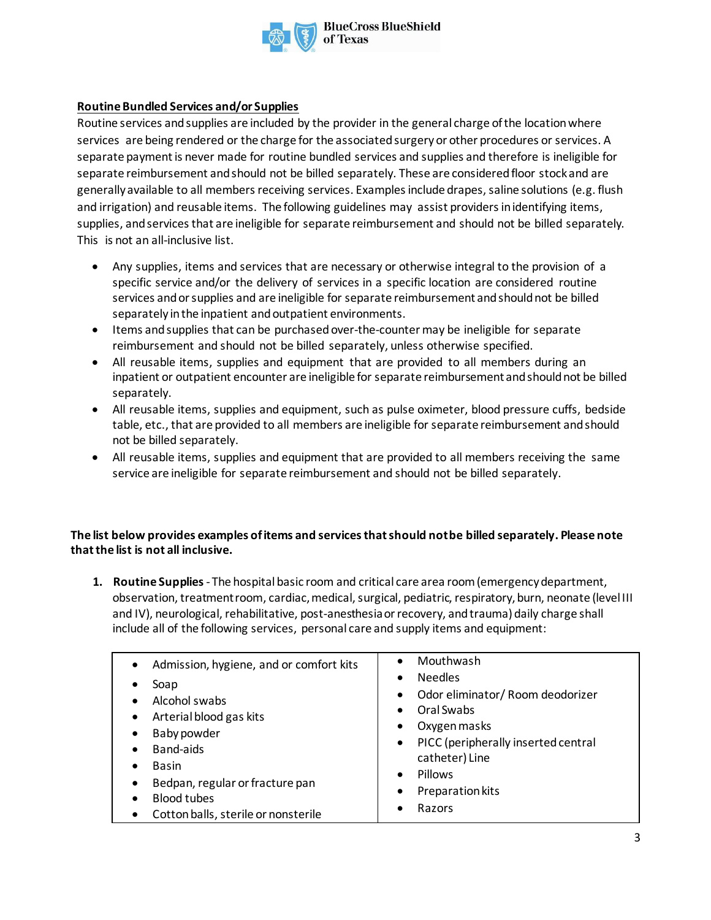

**BlueCross BlueShield** 

#### **Routine Bundled Services and/or Supplies**

Routine services and supplies are included by the provider in the general charge ofthe locationwhere services are being rendered or the charge for the associated surgery or other procedures or services. A separate payment is never made for routine bundled services and supplies and therefore is ineligible for separate reimbursement and should not be billed separately. These are considered floor stock and are generally available to all members receiving services. Examples include drapes, saline solutions (e.g. flush and irrigation) and reusable items. The following guidelines may assist providers in identifying items, supplies, and services that are ineligible for separate reimbursement and should not be billed separately. This is not an all-inclusive list.

- Any supplies, items and services that are necessary or otherwise integral to the provision of a specific service and/or the delivery of services in a specific location are considered routine services and or supplies and are ineligible for separate reimbursement and should not be billed separately in the inpatient andoutpatient environments.
- Items and supplies that can be purchased over-the-counter may be ineligible for separate reimbursement and should not be billed separately, unless otherwise specified.
- All reusable items, supplies and equipment that are provided to all members during an inpatient or outpatient encounter are ineligible for separate reimbursement and should not be billed separately.
- All reusable items, supplies and equipment, such as pulse oximeter, blood pressure cuffs, bedside table, etc., that are provided to all members are ineligible for separate reimbursement and should not be billed separately.
- All reusable items, supplies and equipment that are provided to all members receiving the same service are ineligible for separate reimbursement and should not be billed separately.

#### **The list below provides examples of items and services that should not be billed separately. Please note that the list is not all inclusive.**

**1. Routine Supplies**- The hospital basic room and critical care area room (emergency department, observation, treatment room, cardiac,medical, surgical, pediatric, respiratory,burn, neonate (level III and IV), neurological, rehabilitative, post-anesthesiaor recovery, andtrauma) daily charge shall include all of the following services, personal care and supply items and equipment:

| Admission, hygiene, and or comfort kits<br>$\bullet$<br>Soap<br>Alcohol swabs<br>Arterial blood gas kits<br>Baby powder<br>Band-aids<br><b>Basin</b><br>٠<br>Bedpan, regular or fracture pan<br>$\bullet$<br><b>Blood tubes</b><br>Cotton balls, sterile or nonsterile<br>$\bullet$ | Mouthwash<br>$\bullet$<br><b>Needles</b><br>$\bullet$<br>Odor eliminator/ Room deodorizer<br>٠<br>Oral Swabs<br>$\bullet$<br>Oxygen masks<br>PICC (peripherally inserted central<br>$\bullet$<br>catheter) Line<br>Pillows<br>$\bullet$<br>Preparation kits<br>$\bullet$<br>Razors |
|-------------------------------------------------------------------------------------------------------------------------------------------------------------------------------------------------------------------------------------------------------------------------------------|------------------------------------------------------------------------------------------------------------------------------------------------------------------------------------------------------------------------------------------------------------------------------------|
|-------------------------------------------------------------------------------------------------------------------------------------------------------------------------------------------------------------------------------------------------------------------------------------|------------------------------------------------------------------------------------------------------------------------------------------------------------------------------------------------------------------------------------------------------------------------------------|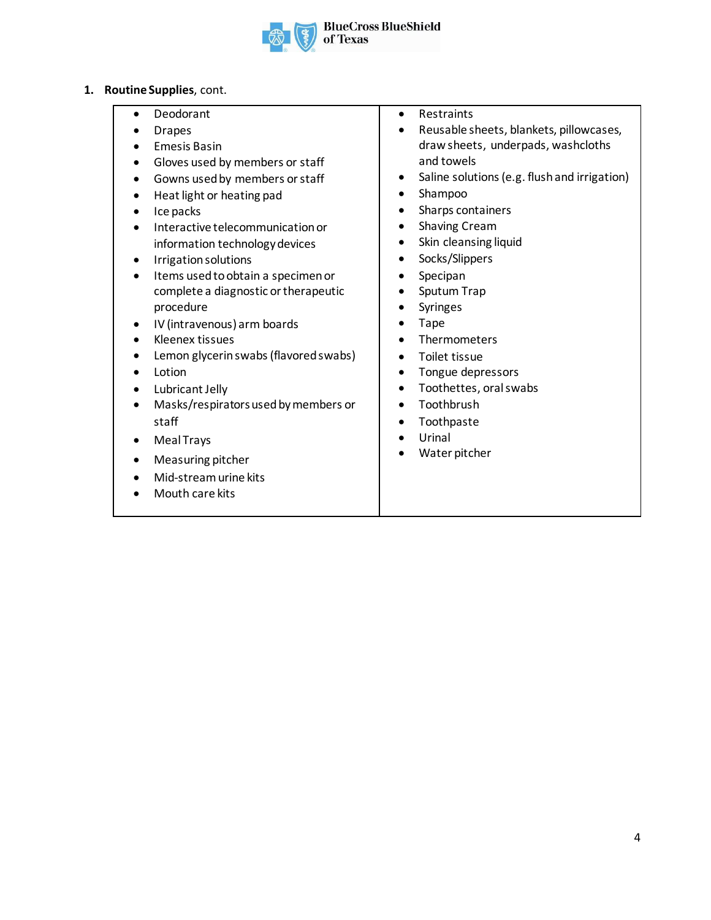

- **1. Routine Supplies**, cont.
	- **Deodorant**
	- Drapes
	- Emesis Basin
	- Gloves used by members or staff
	- Gowns used by members or staff
	- Heat light or heating pad
	- Ice packs
	- Interactive telecommunication or information technology devices
	- Irrigation solutions
	- Items used to obtain a specimen or complete a diagnostic or therapeutic procedure
	- IV (intravenous) arm boards
	- Kleenex tissues
	- Lemon glycerin swabs (flavored swabs)
	- **Lotion**
	- Lubricant Jelly
	- Masks/respirators used by members or staff
	- Meal Trays
	- Measuring pitcher
	- Mid-stream urine kits
	- Mouth care kits
- Restraints
- Reusable sheets, blankets, pillowcases, draw sheets, underpads, washcloths and towels
- Saline solutions (e.g. flush and irrigation)
- Shampoo
- Sharps containers
- Shaving Cream
- Skin cleansing liquid
- Socks/Slippers
- Specipan
- Sputum Trap
- Syringes
- Tape
- Thermometers
- Toilet tissue
- Tongue depressors
- Toothettes, oral swabs
- Toothbrush
- Toothpaste
- Urinal
- Water pitcher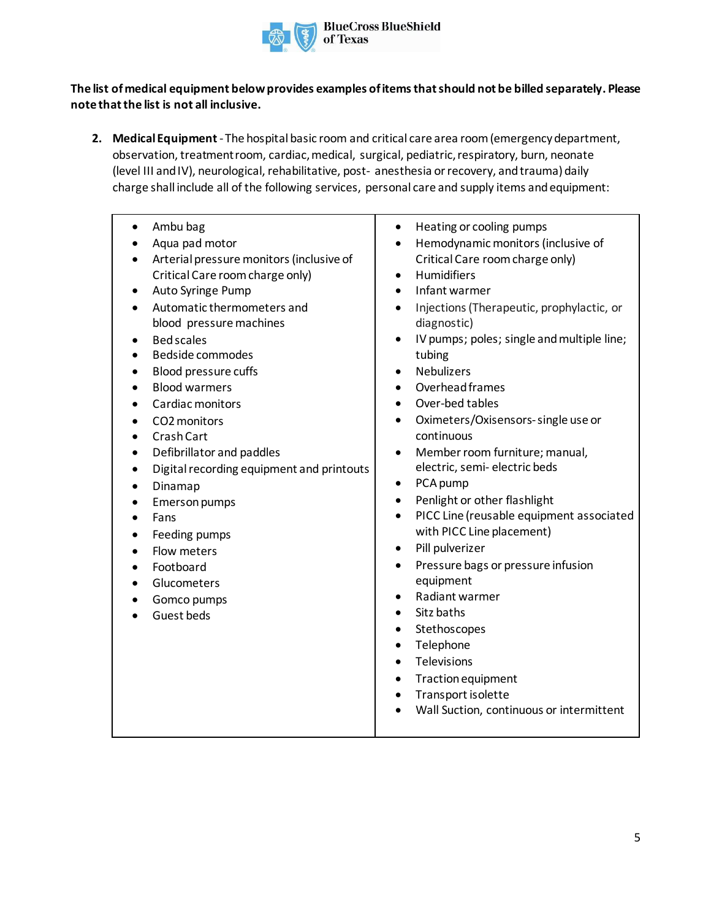

#### **The list of medical equipment belowprovides examples of items that should not be billed separately. Please note that the list is not all inclusive.**

**2. MedicalEquipment**- The hospital basic room and critical care area room(emergency department, observation, treatment room, cardiac, medical, surgical, pediatric, respiratory, burn, neonate (level III and IV), neurological, rehabilitative, post- anesthesia or recovery, andtrauma) daily charge shall include all of the following services, personal care and supply items and equipment:

| Ambu bag<br>Aqua pad motor<br>Arterial pressure monitors (inclusive of<br>Critical Care room charge only)<br>Auto Syringe Pump<br>٠<br>Automatic thermometers and<br>blood pressure machines<br><b>Bed scales</b><br>$\bullet$<br><b>Bedside commodes</b><br>$\bullet$<br>Blood pressure cuffs<br>$\bullet$<br><b>Blood warmers</b><br>$\bullet$<br>Cardiac monitors<br>$\bullet$<br>CO2 monitors<br>Crash Cart<br>$\bullet$<br>Defibrillator and paddles<br>$\bullet$<br>Digital recording equipment and printouts<br>$\bullet$<br>Dinamap<br>٠<br>Emerson pumps<br>Fans<br>Feeding pumps<br>$\bullet$<br>Flow meters<br>Footboard<br>$\bullet$<br>Glucometers<br>Gomco pumps<br>Guest beds | Heating or cooling pumps<br>٠<br>Hemodynamic monitors (inclusive of<br>$\bullet$<br>Critical Care room charge only)<br><b>Humidifiers</b><br>$\bullet$<br>Infant warmer<br>$\bullet$<br>Injections (Therapeutic, prophylactic, or<br>٠<br>diagnostic)<br>IV pumps; poles; single and multiple line;<br>tubing<br><b>Nebulizers</b><br>$\bullet$<br>Overhead frames<br>$\bullet$<br>Over-bed tables<br>$\bullet$<br>Oximeters/Oxisensors-single use or<br>$\bullet$<br>continuous<br>Member room furniture; manual,<br>$\bullet$<br>electric, semi-electric beds<br>PCA pump<br>٠<br>Penlight or other flashlight<br>$\bullet$<br>PICC Line (reusable equipment associated<br>$\bullet$<br>with PICC Line placement)<br>Pill pulverizer<br>$\bullet$<br>Pressure bags or pressure infusion<br>$\bullet$<br>equipment<br>Radiant warmer<br>Sitz baths<br>$\bullet$<br>Stethoscopes<br>$\bullet$<br>Telephone<br>$\bullet$<br>Televisions<br>$\bullet$<br>Traction equipment<br>$\bullet$<br>Transport isolette<br>$\bullet$<br>Wall Suction, continuous or intermittent |
|----------------------------------------------------------------------------------------------------------------------------------------------------------------------------------------------------------------------------------------------------------------------------------------------------------------------------------------------------------------------------------------------------------------------------------------------------------------------------------------------------------------------------------------------------------------------------------------------------------------------------------------------------------------------------------------------|-----------------------------------------------------------------------------------------------------------------------------------------------------------------------------------------------------------------------------------------------------------------------------------------------------------------------------------------------------------------------------------------------------------------------------------------------------------------------------------------------------------------------------------------------------------------------------------------------------------------------------------------------------------------------------------------------------------------------------------------------------------------------------------------------------------------------------------------------------------------------------------------------------------------------------------------------------------------------------------------------------------------------------------------------------------------------|
|----------------------------------------------------------------------------------------------------------------------------------------------------------------------------------------------------------------------------------------------------------------------------------------------------------------------------------------------------------------------------------------------------------------------------------------------------------------------------------------------------------------------------------------------------------------------------------------------------------------------------------------------------------------------------------------------|-----------------------------------------------------------------------------------------------------------------------------------------------------------------------------------------------------------------------------------------------------------------------------------------------------------------------------------------------------------------------------------------------------------------------------------------------------------------------------------------------------------------------------------------------------------------------------------------------------------------------------------------------------------------------------------------------------------------------------------------------------------------------------------------------------------------------------------------------------------------------------------------------------------------------------------------------------------------------------------------------------------------------------------------------------------------------|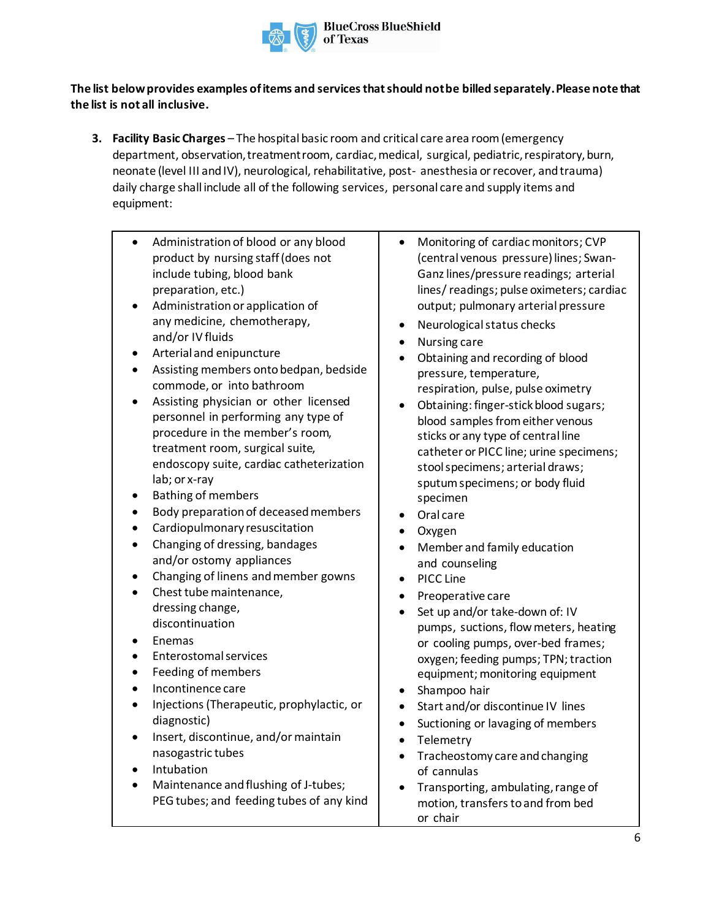

## **The list below provides examples of items and services that should not be billed separately. Please note that the list is not all inclusive.**

- **3. Facility Basic Charges**  The hospital basic room and critical care area room(emergency department, observation, treatment room, cardiac, medical, surgical, pediatric, respiratory, burn, neonate (level III and IV), neurological, rehabilitative, post- anesthesia or recover, andtrauma) daily charge shall include all of the following services, personal care and supply items and equipment:
	- Administration of blood or any blood product by nursing staff (does not include tubing, blood bank preparation, etc.)
	- Administration or application of any medicine, chemotherapy, and/or IV fluids
	- Arterial and enipuncture
	- Assisting members onto bedpan, bedside commode, or into bathroom
	- Assisting physician or other licensed personnel in performing any type of procedure in the member's room, treatment room, surgical suite, endoscopy suite, cardiac catheterization lab; or x-ray
	- Bathing of members
	- Body preparation of deceased members
	- Cardiopulmonary resuscitation
	- Changing of dressing, bandages and/or ostomy appliances
	- Changing of linens and member gowns
	- Chest tube maintenance, dressing change, discontinuation
	- Enemas
	- Enterostomal services
	- Feeding of members
	- Incontinence care
	- Injections (Therapeutic, prophylactic, or diagnostic)
	- Insert, discontinue, and/or maintain nasogastric tubes
	- Intubation
	- Maintenance and flushing of J-tubes; PEG tubes; and feeding tubes of any kind
- Monitoring of cardiac monitors; CVP (central venous pressure) lines; Swan-Ganz lines/pressure readings; arterial lines/readings; pulse oximeters; cardiac output; pulmonary arterial pressure
- Neurological status checks
- Nursing care
- Obtaining and recording of blood pressure, temperature, respiration, pulse, pulse oximetry
- Obtaining: finger-stick blood sugars; blood samples from either venous sticks or any type of central line catheter or PICC line; urine specimens; stoolspecimens; arterial draws; sputumspecimens; or body fluid specimen
- Oral care
- Oxygen
- Member and family education and counseling
- PICC Line
- Preoperative care
- Set up and/or take-down of: IV pumps, suctions, flowmeters, heating or cooling pumps, over-bed frames; oxygen; feeding pumps; TPN; traction equipment; monitoring equipment
- Shampoo hair
- Start and/or discontinue IV lines
- Suctioning or lavaging of members
- **Telemetry**
- Tracheostomy care and changing of cannulas
- Transporting, ambulating, range of motion, transfers to and from bed or chair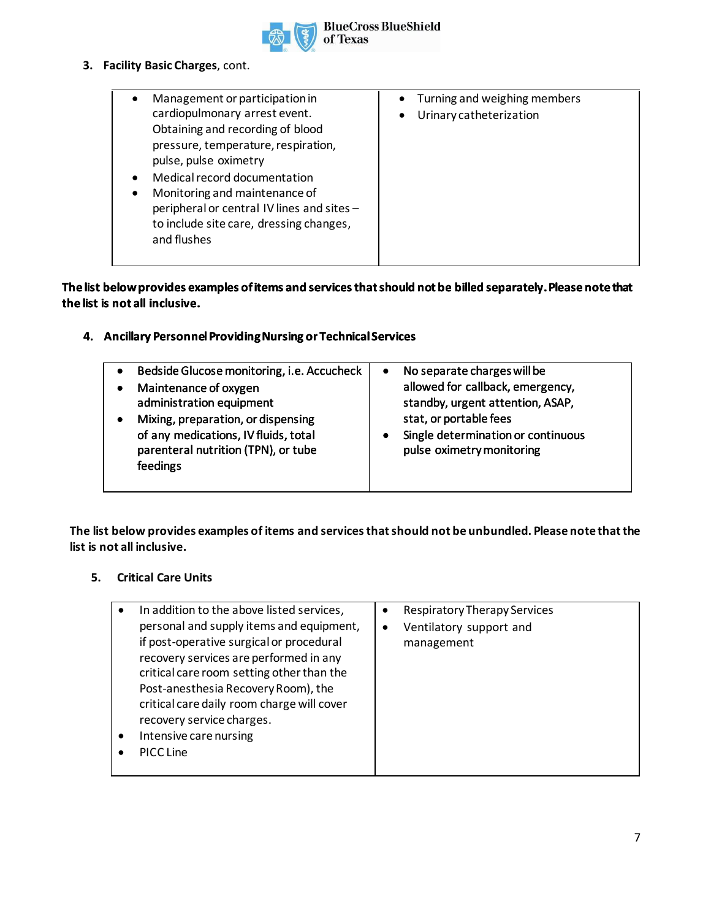

#### **3. Facility Basic Charges**, cont.

### **The list below provides examples of items and services that should not be billed separately. Please note that the list is not all inclusive.**

## **4. Ancillary Personnel Providing Nursing or Technical Services**

| $\bullet$<br>٠ | Bedside Glucose monitoring, i.e. Accucheck<br>Maintenance of oxygen<br>administration equipment<br>Mixing, preparation, or dispensing<br>of any medications, IV fluids, total<br>parenteral nutrition (TPN), or tube<br>feedings | $\bullet$ | No separate charges will be<br>allowed for callback, emergency,<br>standby, urgent attention, ASAP,<br>stat, or portable fees<br>Single determination or continuous<br>pulse oximetry monitoring |
|----------------|----------------------------------------------------------------------------------------------------------------------------------------------------------------------------------------------------------------------------------|-----------|--------------------------------------------------------------------------------------------------------------------------------------------------------------------------------------------------|
|                |                                                                                                                                                                                                                                  |           |                                                                                                                                                                                                  |

**The list below provides examples of items and services that should not be unbundled. Please note that the list is not all inclusive.** 

#### **5. Critical Care Units**

| In addition to the above listed services,  | $\bullet$ | Respiratory Therapy Services |
|--------------------------------------------|-----------|------------------------------|
| personal and supply items and equipment,   | ٠         | Ventilatory support and      |
| if post-operative surgical or procedural   |           | management                   |
| recovery services are performed in any     |           |                              |
| critical care room setting other than the  |           |                              |
| Post-anesthesia Recovery Room), the        |           |                              |
| critical care daily room charge will cover |           |                              |
| recovery service charges.                  |           |                              |
| Intensive care nursing                     |           |                              |
| PICC Line                                  |           |                              |
|                                            |           |                              |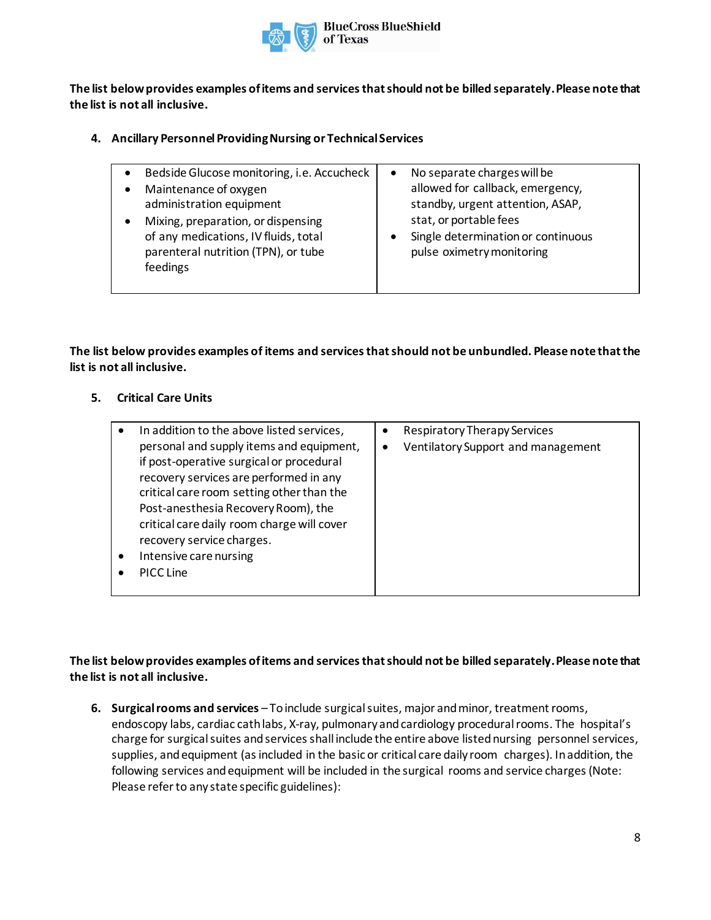

**The list below provides examples of items and services that should not be billed separately. Please note that the list is not all inclusive.**

#### **4. Ancillary PersonnelProvidingNursing or Technical Services**

| Bedside Glucose monitoring, i.e. Accucheck                                                                                    | $\bullet$ | No separate charges will be                                                               |
|-------------------------------------------------------------------------------------------------------------------------------|-----------|-------------------------------------------------------------------------------------------|
| Maintenance of oxygen<br>administration equipment                                                                             |           | allowed for callback, emergency,<br>standby, urgent attention, ASAP,                      |
| Mixing, preparation, or dispensing<br>of any medications, IV fluids, total<br>parenteral nutrition (TPN), or tube<br>feedings |           | stat, or portable fees<br>Single determination or continuous<br>pulse oximetry monitoring |

**The list below provides examples of items and services that should not be unbundled. Please note that the list is not all inclusive.**

#### **5. Critical Care Units**

| In addition to the above listed services,  | ٠ | Respiratory Therapy Services       |
|--------------------------------------------|---|------------------------------------|
| personal and supply items and equipment,   | ٠ | Ventilatory Support and management |
| if post-operative surgical or procedural   |   |                                    |
| recovery services are performed in any     |   |                                    |
| critical care room setting other than the  |   |                                    |
| Post-anesthesia Recovery Room), the        |   |                                    |
| critical care daily room charge will cover |   |                                    |
| recovery service charges.                  |   |                                    |
| Intensive care nursing                     |   |                                    |
| PICC Line                                  |   |                                    |
|                                            |   |                                    |

### **The list below provides examples of items and services that should not be billed separately. Please note that the list is not all inclusive.**

**6. Surgicalrooms and services** – Toinclude surgicalsuites, major and minor, treatment rooms, endoscopy labs, cardiac cath labs, X-ray, pulmonary and cardiology procedural rooms. The hospital's charge for surgical suites and services shall include the entire above listed nursing personnel services, supplies, and equipment (asincluded in the basic or critical care daily room charges). In addition, the following services and equipment will be included in the surgical rooms and service charges (Note: Please refer to any state specific guidelines):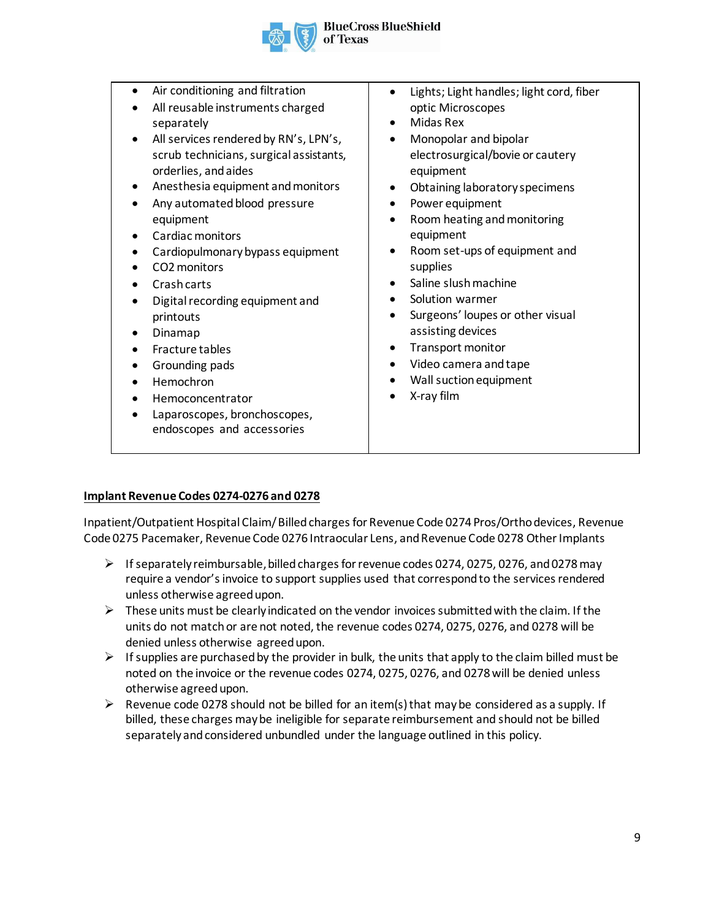

• Air conditioning and filtration • All reusable instruments charged separately All services rendered by RN's, LPN's, scrub technicians, surgical assistants, orderlies, and aides Anesthesia equipment and monitors • Any automated blood pressure equipment Cardiac monitors • Cardiopulmonary bypass equipment • CO2 monitors • Crash carts • Digitalrecording equipment and printouts • Dinamap • Fracture tables • Grounding pads • Hemochron • Hemoconcentrator • Laparoscopes, bronchoscopes, endoscopes and accessories • Lights; Light handles; light cord, fiber optic Microscopes • Midas Rex • Monopolar and bipolar electrosurgical/bovie or cautery equipment • Obtaining laboratory specimens Power equipment Room heating and monitoring equipment • Room set-ups of equipment and supplies Saline slush machine Solution warmer Surgeons' loupes or other visual assisting devices • Transport monitor • Video camera and tape • Wall suction equipment • X-ray film

#### **Implant Revenue Codes 0274-0276 and 0278**

Inpatient/Outpatient Hospital Claim/ Billed charges for Revenue Code 0274 Pros/Ortho devices, Revenue Code 0275 Pacemaker, Revenue Code 0276 Intraocular Lens, and Revenue Code 0278 Other Implants

- $\triangleright$  If separately reimbursable, billed charges for revenue codes 0274, 0275, 0276, and 0278 may require a vendor's invoice to support supplies used that correspond to the services rendered unless otherwise agreed upon.
- $\triangleright$  These units must be clearly indicated on the vendor invoices submitted with the claim. If the units do not match or are not noted, the revenue codes 0274, 0275, 0276, and 0278 will be denied unless otherwise agreed upon.
- $\triangleright$  If supplies are purchased by the provider in bulk, the units that apply to the claim billed must be noted on the invoice or the revenue codes 0274, 0275, 0276, and 0278 will be denied unless otherwise agreed upon.
- $\triangleright$  Revenue code 0278 should not be billed for an item(s) that may be considered as a supply. If billed, these charges may be ineligible for separate reimbursement and should not be billed separately and considered unbundled under the language outlined in this policy.